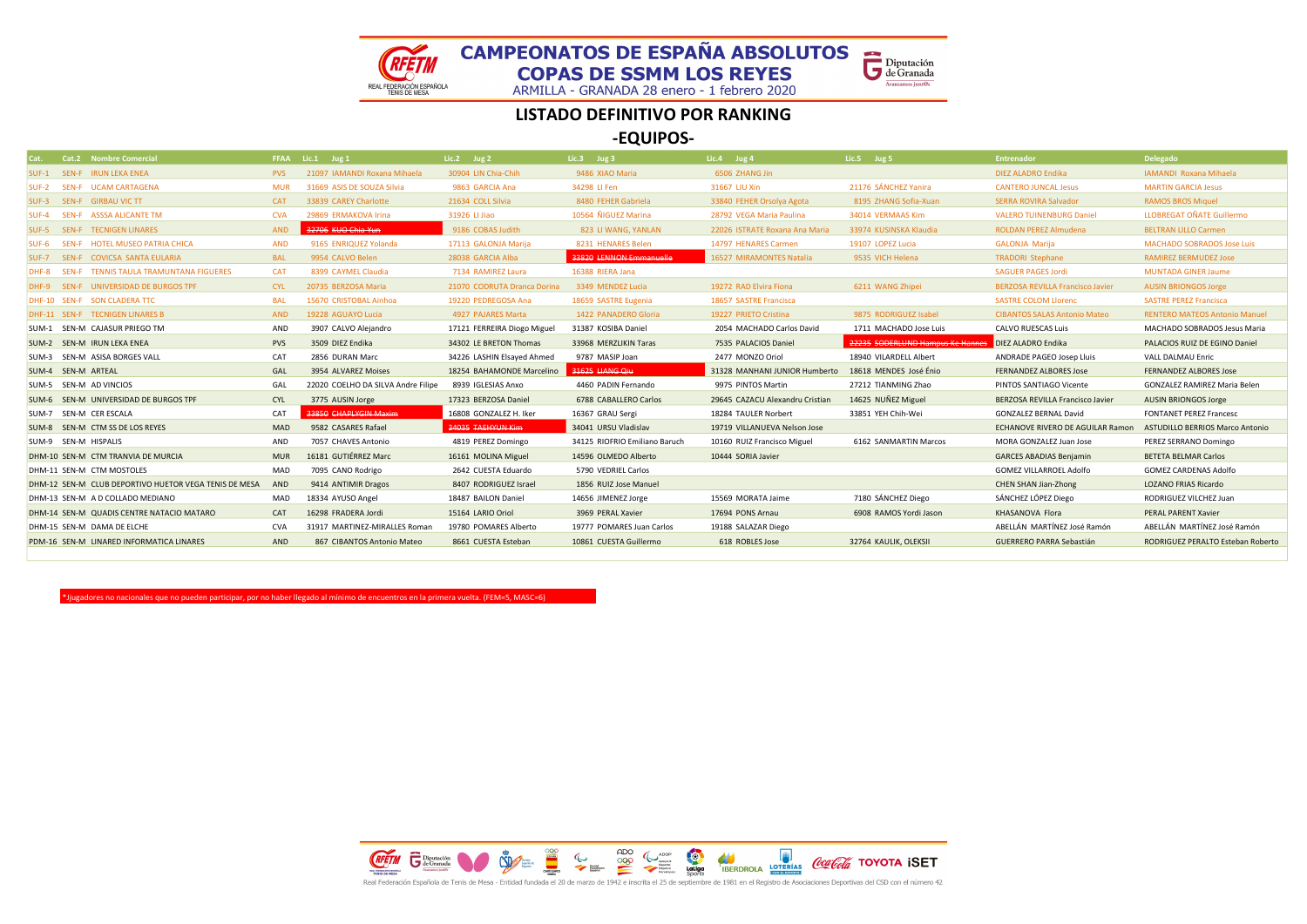



ARMILLA - GRANADA 28 enero - 1 febrero 2020

#### LISTADO DEFINITIVO POR RANKING

-EQUIPOS-

| <b>Cat.2 Nombre Comercial</b>                         |            | FFAA Lic.1 Jug 1                   | Lic.2 Jug $2$               | Lic.3 Jug 3                   | Lic.4 Jug 4                     | Lic.5 Jug 5                      | <b>Entrenador</b>                       | <b>Delegado</b>                      |
|-------------------------------------------------------|------------|------------------------------------|-----------------------------|-------------------------------|---------------------------------|----------------------------------|-----------------------------------------|--------------------------------------|
| SUF-1 SEN-F IRUN LEKA ENEA                            | <b>PVS</b> | 21097 IAMANDI Roxana Mihaela       | 30904 LIN Chia-Chih         | 9486 XIAO Maria               | 6506 ZHANG Jin                  |                                  | <b>DIEZ ALADRO Endika</b>               | IAMANDI Roxana Mihaela               |
| SUF-2 SEN-F UCAM CARTAGENA                            | <b>MUR</b> | 31669 ASIS DE SOUZA Silvia         | 9863 GARCIA Ana             | 34298 LI Fen                  | 31667 LIU Xin                   | 21176 SÁNCHEZ Yanira             | <b>CANTERO JUNCAL Jesus</b>             | <b>MARTIN GARCIA Jesus</b>           |
| SUF-3 SEN-F GIRBAU VIC TT                             | <b>CAT</b> | 33839 CAREY Charlotte              | 21634 COLL Silvia           | 8480 FEHER Gabriela           | 33840 FEHER Orsolya Agota       | 8195 ZHANG Sofia-Xuan            | <b>SERRA ROVIRA Salvador</b>            | <b>RAMOS BROS Miquel</b>             |
| SUF-4 SEN-F ASSSA ALICANTE TM                         | <b>CVA</b> | 29869 ERMAKOVA Irina               | 31926 LI Jiao               | 10564 ÑIGUEZ Marina           | 28792 VEGA Maria Paulina        | 34014 VERMAAS Kim                | <b>VALERO TUINENBURG Daniel</b>         | <b>LLOBREGAT OÑATE Guillermo</b>     |
| SUF-5 SEN-F TECNIGEN LINARES                          | AND        | 32706 KUO Chia Yun                 | 9186 COBAS Judith           | 823 LI WANG, YANLAN           | 22026 ISTRATE Roxana Ana Maria  | 33974 KUSINSKA Klaudia           | <b>ROLDAN PEREZ Almudena</b>            | <b>BELTRAN LILLO Carmen</b>          |
| SUF-6 SEN-F HOTEL MUSEO PATRIA CHICA                  | <b>AND</b> | 9165 ENRIQUEZ Yolanda              | 17113 GALONJA Marija        | 8231 HENARES Belen            | 14797 HENARES Carmen            | 19107 LOPEZ Lucia                | <b>GALONJA Marija</b>                   | <b>MACHADO SOBRADOS Jose Luis</b>    |
| SUF-7 SEN-F COVICSA SANTA EULARIA                     | <b>BAL</b> | 9954 CALVO Belen                   | 28038 GARCIA Alba           | 33820 LENNON Emmanuelle       | 16527 MIRAMONTES Natalia        | 9535 VICH Helena                 | <b>TRADORI Stephane</b>                 | <b>RAMIREZ BERMUDEZ Jose</b>         |
| DHF-8 SEN-F TENNIS TAULA TRAMUNTANA FIGUERES          | <b>CAT</b> | 8399 CAYMEL Claudia                | 7134 RAMIREZ Laura          | 16388 RIERA Jana              |                                 |                                  | <b>SAGUER PAGES Jordi</b>               | <b>MUNTADA GINER Jaume</b>           |
| DHF-9 SEN-F UNIVERSIDAD DE BURGOS TPF                 | <b>CYL</b> | 20735 BERZOSA Maria                | 21070 CODRUTA Dranca Dorina | 3349 MENDEZ Lucia             | 19272 RAD Elvira Fiona          | 6211 WANG Zhipei                 | <b>BERZOSA REVILLA Francisco Javier</b> | <b>AUSIN BRIONGOS Jorge</b>          |
| DHF-10 SEN-F SON CLADERATTC                           | <b>BAL</b> | 15670 CRISTOBAL Ainhoa             | 19220 PEDREGOSA Ana         | 18659 SASTRE Eugenia          | 18657 SASTRE Francisca          |                                  | <b>SASTRE COLOM Llorenc</b>             | <b>SASTRE PEREZ Francisca</b>        |
| DHF-11 SEN-F TECNIGEN LINARES B                       | AND        | 19228 AGUAYO Lucia                 | 4927 PAJARES Marta          | 1422 PANADERO Gloria          | 19227 PRIETO Cristina           | 9875 RODRIGUEZ Isabel            | <b>CIBANTOS SALAS Antonio Mateo</b>     | <b>RENTERO MATEOS Antonio Manuel</b> |
| SUM-1 SEN-M CAJASUR PRIEGO TM                         | AND        | 3907 CALVO Alejandro               | 17121 FERREIRA Diogo Miguel | 31387 KOSIBA Daniel           | 2054 MACHADO Carlos David       | 1711 MACHADO Jose Luis           | <b>CALVO RUESCAS Luis</b>               | MACHADO SOBRADOS Jesus Maria         |
| SUM-2 SEN-M IRUN LEKA ENEA                            | <b>PVS</b> | 3509 DIEZ Endika                   | 34302 LE BRETON Thomas      | 33968 MERZLIKIN Taras         | 7535 PALACIOS Daniel            | 22235 SODERLUND Hampus Ke Hannes | DIEZ ALADRO Endika                      | PALACIOS RUIZ DE EGINO Daniel        |
| SUM-3 SEN-M ASISA BORGES VALL                         | CAT        | 2856 DURAN Marc                    | 34226 LASHIN Elsayed Ahmed  | 9787 MASIP Joan               | 2477 MONZO Oriol                | 18940 VILARDELL Albert           | ANDRADE PAGEO Josep Lluis               | VALL DALMAU Enric                    |
| SUM-4 SEN-M ARTEAL                                    | GAL        | 3954 ALVAREZ Moises                | 18254 BAHAMONDE Marcelino   | 31625 LIANG Qiu               | 31328 MANHANI JUNIOR Humberto   | 18618 MENDES José Énio           | <b>FERNANDEZ ALBORES Jose</b>           | <b>FERNANDEZ ALBORES Jose</b>        |
| SUM-5 SEN-M AD VINCIOS                                | GAL        | 22020 COELHO DA SILVA Andre Filipe | 8939 IGLESIAS Anxo          | 4460 PADIN Fernando           | 9975 PINTOS Martin              | 27212 TIANMING Zhao              | PINTOS SANTIAGO Vicente                 | <b>GONZALEZ RAMIREZ Maria Belen</b>  |
| SUM-6 SEN-M UNIVERSIDAD DE BURGOS TPF                 | <b>CYL</b> | 3775 AUSIN Jorge                   | 17323 BERZOSA Daniel        | 6788 CABALLERO Carlos         | 29645 CAZACU Alexandru Cristian | 14625 NUÑEZ Miguel               | BERZOSA REVILLA Francisco Javier        | <b>AUSIN BRIONGOS Jorge</b>          |
| SUM-7 SEN-M CER ESCALA                                | CAT        | 33850 CHAPLYGIN Maxim              | 16808 GONZALEZ H. Iker      | 16367 GRAU Sergi              | 18284 TAULER Norbert            | 33851 YEH Chih-Wei               | <b>GONZALEZ BERNAL David</b>            | <b>FONTANET PEREZ Francesc</b>       |
| SUM-8 SEN-M CTM SS DE LOS REYES                       | MAD        | 9582 CASARES Rafael                | 34035 TAEHYUN Kim           | 34041 URSU Vladislav          | 19719 VILLANUEVA Nelson Jose    |                                  | ECHANOVE RIVERO DE AGUILAR Ramon        | ASTUDILLO BERRIOS Marco Antonio      |
| SUM-9 SEN-M HISPALIS                                  | AND        | 7057 CHAVES Antonio                | 4819 PEREZ Domingo          | 34125 RIOFRIO Emiliano Baruch | 10160 RUIZ Francisco Miguel     | 6162 SANMARTIN Marcos            | MORA GONZALEZ Juan Jose                 | PEREZ SERRANO Domingo                |
| DHM-10 SEN-M CTM TRANVIA DE MURCIA                    | <b>MUR</b> | 16181 GUTIÉRREZ Marc               | 16161 MOLINA Miguel         | 14596 OLMEDO Alberto          | 10444 SORIA Javier              |                                  | <b>GARCES ABADIAS Benjamin</b>          | <b>BETETA BELMAR Carlos</b>          |
| DHM-11 SEN-M CTM MOSTOLES                             | MAD        | 7095 CANO Rodrigo                  | 2642 CUESTA Eduardo         | 5790 VEDRIEL Carlos           |                                 |                                  | <b>GOMEZ VILLARROEL Adolfo</b>          | <b>GOMEZ CARDENAS Adolfo</b>         |
| DHM-12 SEN-M CLUB DEPORTIVO HUETOR VEGA TENIS DE MESA | AND        | 9414 ANTIMIR Dragos                | 8407 RODRIGUEZ Israel       | 1856 RUIZ Jose Manuel         |                                 |                                  | CHEN SHAN Jian-Zhong                    | <b>LOZANO FRIAS Ricardo</b>          |
| DHM-13 SEN-M A D COLLADO MEDIANO                      | MAD        | 18334 AYUSO Angel                  | 18487 BAILON Daniel         | 14656 JIMENEZ Jorge           | 15569 MORATA Jaime              | 7180 SÁNCHEZ Diego               | SÁNCHEZ LÓPEZ Diego                     | RODRIGUEZ VILCHEZ Juan               |
| DHM-14 SEN-M QUADIS CENTRE NATACIO MATARO             | CAT        | 16298 FRADERA Jordi                | 15164 LARIO Oriol           | 3969 PERAL Xavier             | 17694 PONS Arnau                | 6908 RAMOS Yordi Jason           | KHASANOVA Flora                         | PERAL PARENT Xavier                  |
| DHM-15 SEN-M DAMA DE ELCHE                            | <b>CVA</b> | 31917 MARTINEZ-MIRALLES Roman      | 19780 POMARES Alberto       | 19777 POMARES Juan Carlos     | 19188 SALAZAR Diego             |                                  | ABELLÁN MARTÍNEZ José Ramón             | ABELLÁN MARTÍNEZ José Ramón          |
| PDM-16 SEN-M LINARED INFORMATICA LINARES              | AND        | 867 CIBANTOS Antonio Mateo         | 8661 CUESTA Esteban         | 10861 CUESTA Guillermo        | 618 ROBLES Jose                 | 32764 KAULIK, OLEKSII            | <b>GUERRERO PARRA Sebastián</b>         | RODRIGUEZ PERALTO Esteban Roberto    |
|                                                       |            |                                    |                             |                               |                                 |                                  |                                         |                                      |

\*Jjugadores no nacionales que no pueden participar, por no haber llegado al mínimo de encuentros en la primera vuelta. (FEM=5, MASC=6)

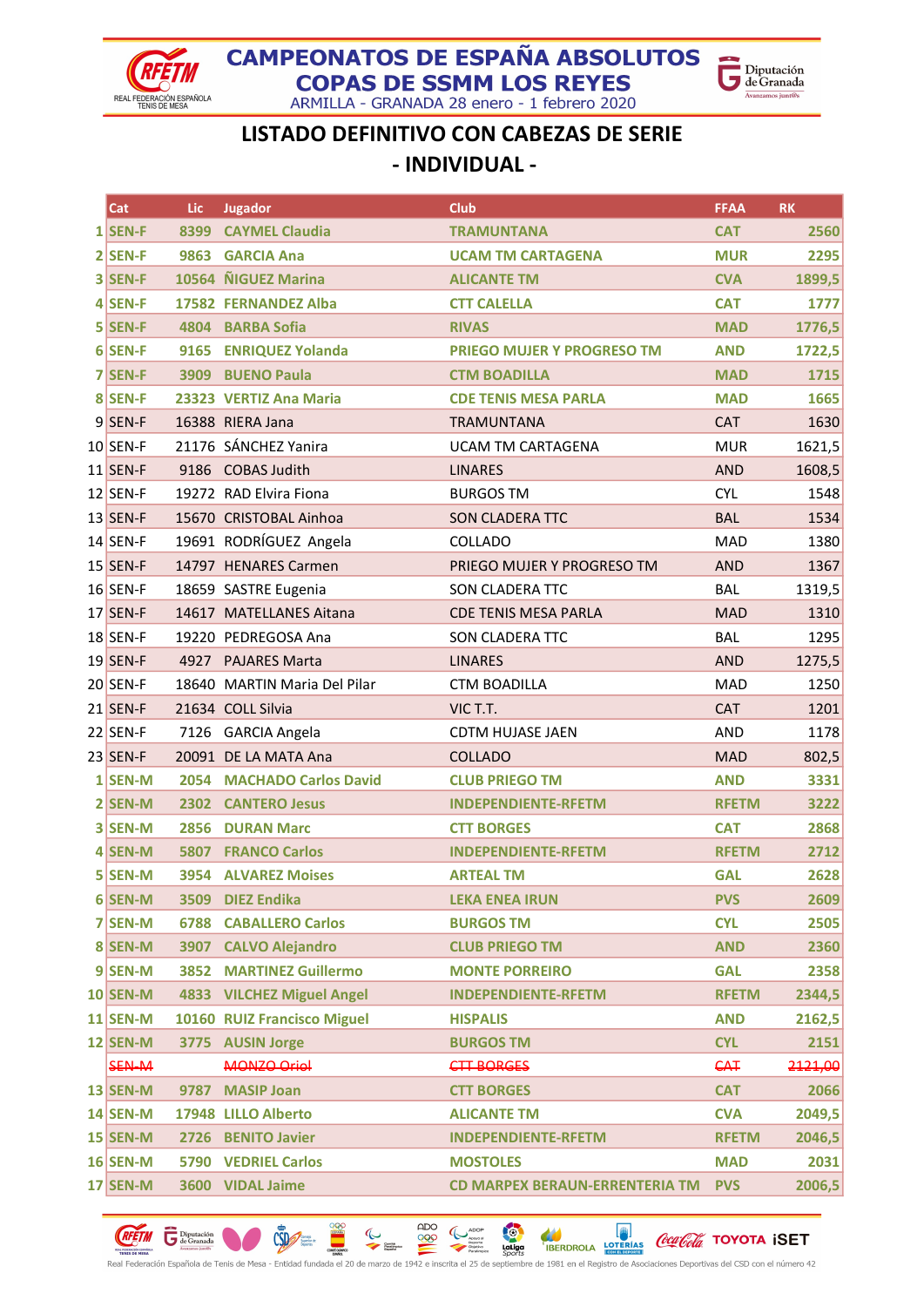

ARMILLA - GRANADA 28 enero - 1 febrero 2020



### LISTADO DEFINITIVO CON CABEZAS DE SERIE - INDIVIDUAL -

| Cat             | Lic  | Jugador                      | <b>Club</b>                    | <b>FFAA</b>  | <b>RK</b> |
|-----------------|------|------------------------------|--------------------------------|--------------|-----------|
| $1$ SEN-F       | 8399 | <b>CAYMEL Claudia</b>        | <b>TRAMUNTANA</b>              | <b>CAT</b>   | 2560      |
| $2$ SEN-F       | 9863 | <b>GARCIA Ana</b>            | <b>UCAM TM CARTAGENA</b>       | <b>MUR</b>   | 2295      |
| 3 SEN-F         |      | 10564 NIGUEZ Marina          | <b>ALICANTE TM</b>             | <b>CVA</b>   | 1899,5    |
| $4$ SEN-F       |      | 17582 FERNANDEZ Alba         | <b>CTT CALELLA</b>             | <b>CAT</b>   | 1777      |
| 5 SEN-F         |      | 4804 BARBA Sofia             | <b>RIVAS</b>                   | <b>MAD</b>   | 1776,5    |
| $6$ SEN-F       | 9165 | <b>ENRIQUEZ Yolanda</b>      | PRIEGO MUJER Y PROGRESO TM     | <b>AND</b>   | 1722,5    |
| 7 SEN-F         |      | 3909 BUENO Paula             | <b>CTM BOADILLA</b>            | <b>MAD</b>   | 1715      |
| 8 SEN-F         |      | 23323 VERTIZ Ana Maria       | <b>CDE TENIS MESA PARLA</b>    | <b>MAD</b>   | 1665      |
| 9 SEN-F         |      | 16388 RIERA Jana             | <b>TRAMUNTANA</b>              | <b>CAT</b>   | 1630      |
| $10$ SEN-F      |      | 21176 SÁNCHEZ Yanira         | <b>UCAM TM CARTAGENA</b>       | <b>MUR</b>   | 1621,5    |
| $11$ SEN-F      | 9186 | <b>COBAS Judith</b>          | <b>LINARES</b>                 | <b>AND</b>   | 1608,5    |
| $12$ SEN-F      |      | 19272 RAD Elvira Fiona       | <b>BURGOS TM</b>               | <b>CYL</b>   | 1548      |
| 13 SEN-F        |      | 15670 CRISTOBAL Ainhoa       | SON CLADERA TTC                | <b>BAL</b>   | 1534      |
| $14$ SEN-F      |      | 19691 RODRÍGUEZ Angela       | COLLADO                        | MAD          | 1380      |
| $15$ SEN-F      |      | 14797 HENARES Carmen         | PRIEGO MUJER Y PROGRESO TM     | <b>AND</b>   | 1367      |
| $16$ SEN-F      |      | 18659 SASTRE Eugenia         | SON CLADERA TTC                | <b>BAL</b>   | 1319,5    |
| 17 SEN-F        |      | 14617 MATELLANES Aitana      | <b>CDE TENIS MESA PARLA</b>    | <b>MAD</b>   | 1310      |
| $18$ SEN-F      |      | 19220 PEDREGOSA Ana          | SON CLADERA TTC                | <b>BAL</b>   | 1295      |
| <b>19 SEN-F</b> |      | 4927 PAJARES Marta           | <b>LINARES</b>                 | <b>AND</b>   | 1275,5    |
| 20 SEN-F        |      | 18640 MARTIN Maria Del Pilar | <b>CTM BOADILLA</b>            | <b>MAD</b>   | 1250      |
| 21 SEN-F        |      | 21634 COLL Silvia            | VIC T.T.                       | <b>CAT</b>   | 1201      |
| $22$ SEN-F      |      | 7126 GARCIA Angela           | <b>CDTM HUJASE JAEN</b>        | <b>AND</b>   | 1178      |
| 23 SEN-F        |      | 20091 DE LA MATA Ana         | <b>COLLADO</b>                 | <b>MAD</b>   | 802,5     |
| $1$ SEN-M       | 2054 | <b>MACHADO Carlos David</b>  | <b>CLUB PRIEGO TM</b>          | <b>AND</b>   | 3331      |
| 2 SEN-M         | 2302 | <b>CANTERO Jesus</b>         | <b>INDEPENDIENTE-RFETM</b>     | <b>RFETM</b> | 3222      |
| 3 SEN-M         | 2856 | <b>DURAN Marc</b>            | <b>CTT BORGES</b>              | <b>CAT</b>   | 2868      |
| 4 SEN-M         | 5807 | <b>FRANCO Carlos</b>         | <b>INDEPENDIENTE-RFETM</b>     | <b>RFETM</b> | 2712      |
| 5 SEN-M         |      | <b>3954 ALVAREZ Moises</b>   | <b>ARTEAL TM</b>               | <b>GAL</b>   | 2628      |
| 6 SEN-M         | 3509 | <b>DIEZ Endika</b>           | <b>LEKA ENEA IRUN</b>          | <b>PVS</b>   | 2609      |
| 7 SEN-M         | 6788 | <b>CABALLERO Carlos</b>      | <b>BURGOS TM</b>               | <b>CYL</b>   | 2505      |
| 8 SEN-M         | 3907 | <b>CALVO Alejandro</b>       | <b>CLUB PRIEGO TM</b>          | <b>AND</b>   | 2360      |
| $9$ SEN-M       | 3852 | <b>MARTINEZ Guillermo</b>    | <b>MONTE PORREIRO</b>          | <b>GAL</b>   | 2358      |
| $10$ SEN-M      |      | 4833 VILCHEZ Miguel Angel    | <b>INDEPENDIENTE-RFETM</b>     | <b>RFETM</b> | 2344,5    |
| $11$ SEN-M      |      | 10160 RUIZ Francisco Miguel  | <b>HISPALIS</b>                | <b>AND</b>   | 2162,5    |
| $12$ SEN-M      |      | 3775 AUSIN Jorge             | <b>BURGOS TM</b>               | <b>CYL</b>   | 2151      |
| SEN-M           |      | <b>MONZO Oriol</b>           | <b>CTT BORGES</b>              | <b>CAT</b>   | 2121,00   |
| $13$ SEN-M      | 9787 | <b>MASIP Joan</b>            | <b>CTT BORGES</b>              | <b>CAT</b>   | 2066      |
| $14$ SEN-M      |      | 17948 LILLO Alberto          | <b>ALICANTE TM</b>             | <b>CVA</b>   | 2049,5    |
| $15$ SEN-M      |      | 2726 BENITO Javier           | <b>INDEPENDIENTE-RFETM</b>     | <b>RFETM</b> | 2046,5    |
| $16$ SEN-M      |      | <b>5790 VEDRIEL Carlos</b>   | <b>MOSTOLES</b>                | <b>MAD</b>   | 2031      |
| $17$ SEN-M      |      | 3600 VIDAL Jaime             | CD MARPEX BERAUN-ERRENTERIA TM | <b>PVS</b>   | 2006,5    |

**CONTRACTOR OCCION TOYOTA ISET**  $\begin{picture}(180,10) \put(10,10){\line(1,0){100}} \put(10,10){\line(1,0){100}} \put(10,10){\line(1,0){100}} \put(10,10){\line(1,0){100}} \put(10,10){\line(1,0){100}} \put(10,10){\line(1,0){100}} \put(10,10){\line(1,0){100}} \put(10,10){\line(1,0){100}} \put(10,10){\line(1,0){100}} \put(10,10){\line(1,0){100}} \put(10,10$  $\mathbb{C}$ **CREETIN** GE Diputación Real Federación Española de Tenis de Mesa - Entidad fundada el 20 de marzo de 1942 e inscrita el 25 de septiembre de 1981 en el Registro de Asociaciones Deportivas del CSD con el número 42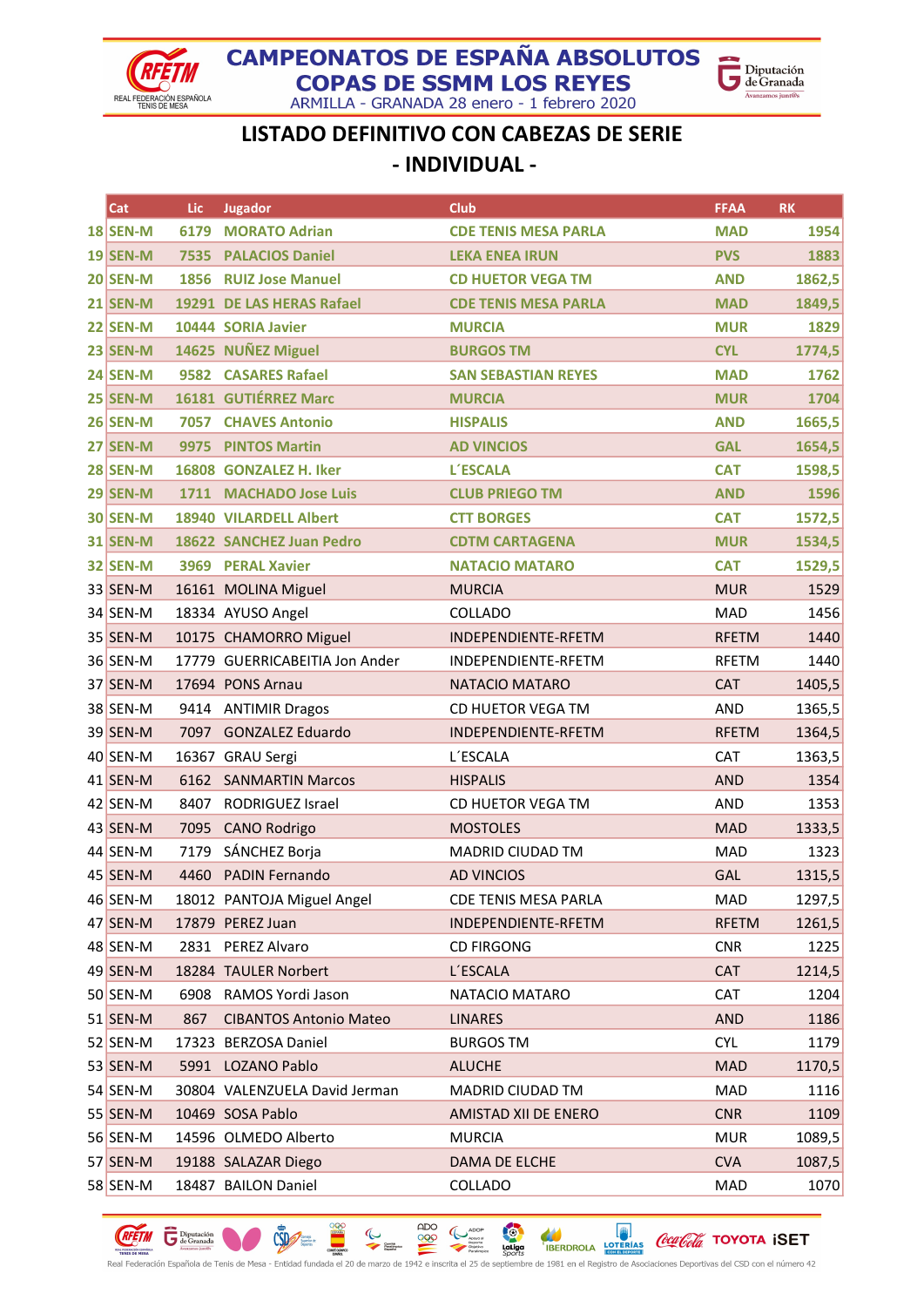

### **CAMPEONATOS DE ESPAÑA ABSOLUTOS COPAS DE SSMM LOS REYES** ARMILLA - GRANADA 28 enero - 1 febrero 2020



LISTADO DEFINITIVO CON CABEZAS DE SERIE - INDIVIDUAL -

| Cat             | Lic  | <b>Jugador</b>                 | <b>Club</b>                 | <b>FFAA</b>  | <b>RK</b> |
|-----------------|------|--------------------------------|-----------------------------|--------------|-----------|
| $18$ SEN-M      | 6179 | <b>MORATO Adrian</b>           | <b>CDE TENIS MESA PARLA</b> | <b>MAD</b>   | 1954      |
| <b>19 SEN-M</b> | 7535 | <b>PALACIOS Daniel</b>         | <b>LEKA ENEA IRUN</b>       | <b>PVS</b>   | 1883      |
| $20$ SEN-M      | 1856 | <b>RUIZ Jose Manuel</b>        | <b>CD HUETOR VEGA TM</b>    | <b>AND</b>   | 1862,5    |
| $21$ SEN-M      |      | 19291 DE LAS HERAS Rafael      | <b>CDE TENIS MESA PARLA</b> | <b>MAD</b>   | 1849,5    |
| $22$ SEN-M      |      | 10444 SORIA Javier             | <b>MURCIA</b>               | <b>MUR</b>   | 1829      |
| $23$ SEN-M      |      | 14625 NUÑEZ Miguel             | <b>BURGOS TM</b>            | <b>CYL</b>   | 1774,5    |
| $24$ SEN-M      | 9582 | <b>CASARES Rafael</b>          | <b>SAN SEBASTIAN REYES</b>  | <b>MAD</b>   | 1762      |
| $25$ SEN-M      |      | 16181 GUTIÉRREZ Marc           | <b>MURCIA</b>               | <b>MUR</b>   | 1704      |
| $26$ SEN-M      | 7057 | <b>CHAVES Antonio</b>          | <b>HISPALIS</b>             | <b>AND</b>   | 1665,5    |
| $27$ SEN-M      | 9975 | <b>PINTOS Martin</b>           | <b>AD VINCIOS</b>           | <b>GAL</b>   | 1654,5    |
| $28$ SEN-M      |      | 16808 GONZALEZ H. Iker         | <b>L'ESCALA</b>             | <b>CAT</b>   | 1598,5    |
| $29$ SEN-M      |      | 1711 MACHADO Jose Luis         | <b>CLUB PRIEGO TM</b>       | <b>AND</b>   | 1596      |
| <b>30 SEN-M</b> |      | <b>18940 VILARDELL Albert</b>  | <b>CTT BORGES</b>           | <b>CAT</b>   | 1572,5    |
| <b>31 SEN-M</b> |      | 18622 SANCHEZ Juan Pedro       | <b>CDTM CARTAGENA</b>       | <b>MUR</b>   | 1534,5    |
| <b>32 SEN-M</b> | 3969 | <b>PERAL Xavier</b>            | <b>NATACIO MATARO</b>       | <b>CAT</b>   | 1529,5    |
| 33 SEN-M        |      | 16161 MOLINA Miguel            | <b>MURCIA</b>               | <b>MUR</b>   | 1529      |
| 34 SEN-M        |      | 18334 AYUSO Angel              | COLLADO                     | MAD          | 1456      |
| 35 SEN-M        |      | 10175 CHAMORRO Miguel          | INDEPENDIENTE-RFETM         | <b>RFETM</b> | 1440      |
| 36 SEN-M        |      | 17779 GUERRICABEITIA Jon Ander | INDEPENDIENTE-RFETM         | RFETM        | 1440      |
| 37 SEN-M        |      | 17694 PONS Arnau               | NATACIO MATARO              | <b>CAT</b>   | 1405,5    |
| 38 SEN-M        |      | 9414 ANTIMIR Dragos            | CD HUETOR VEGA TM           | <b>AND</b>   | 1365,5    |
| 39 SEN-M        | 7097 | <b>GONZALEZ Eduardo</b>        | INDEPENDIENTE-RFETM         | <b>RFETM</b> | 1364,5    |
| 40 SEN-M        |      | 16367 GRAU Sergi               | L'ESCALA                    | <b>CAT</b>   | 1363,5    |
| 41 SEN-M        | 6162 | <b>SANMARTIN Marcos</b>        | <b>HISPALIS</b>             | <b>AND</b>   | 1354      |
| 42 SEN-M        | 8407 | RODRIGUEZ Israel               | CD HUETOR VEGA TM           | <b>AND</b>   | 1353      |
| $43$ SEN-M      | 7095 | <b>CANO Rodrigo</b>            | <b>MOSTOLES</b>             | <b>MAD</b>   | 1333,5    |
| 44 SEN-M        | 7179 | SÁNCHEZ Borja                  | MADRID CIUDAD TM            | <b>MAD</b>   | 1323      |
| 45 SEN-M        |      | 4460 PADIN Fernando            | <b>AD VINCIOS</b>           | GAL          | 1315,5    |
| 46 SEN-M        |      | 18012 PANTOJA Miguel Angel     | CDE TENIS MESA PARLA        | MAD          | 1297,5    |
| 47 SEN-M        |      | 17879 PEREZ Juan               | INDEPENDIENTE-RFETM         | <b>RFETM</b> | 1261,5    |
| 48 SEN-M        |      | 2831 PEREZ Alvaro              | <b>CD FIRGONG</b>           | <b>CNR</b>   | 1225      |
| 49 SEN-M        |      | 18284 TAULER Norbert           | <b>L'ESCALA</b>             | <b>CAT</b>   | 1214,5    |
| 50 SEN-M        | 6908 | RAMOS Yordi Jason              | NATACIO MATARO              | CAT          | 1204      |
| 51 SEN-M        | 867  | <b>CIBANTOS Antonio Mateo</b>  | <b>LINARES</b>              | <b>AND</b>   | 1186      |
| $52$ SEN-M      |      | 17323 BERZOSA Daniel           | <b>BURGOS TM</b>            | <b>CYL</b>   | 1179      |
| 53 SEN-M        |      | 5991 LOZANO Pablo              | <b>ALUCHE</b>               | <b>MAD</b>   | 1170,5    |
| 54 SEN-M        |      | 30804 VALENZUELA David Jerman  | MADRID CIUDAD TM            | MAD          | 1116      |
| $55$ SEN-M      |      | 10469 SOSA Pablo               | AMISTAD XII DE ENERO        | <b>CNR</b>   | 1109      |
| 56 SEN-M        |      | 14596 OLMEDO Alberto           | <b>MURCIA</b>               | <b>MUR</b>   | 1089,5    |
| 57 SEN-M        |      | 19188 SALAZAR Diego            | DAMA DE ELCHE               | <b>CVA</b>   | 1087,5    |
| 58 SEN-M        |      | 18487 BAILON Daniel            | COLLADO                     | MAD          | 1070      |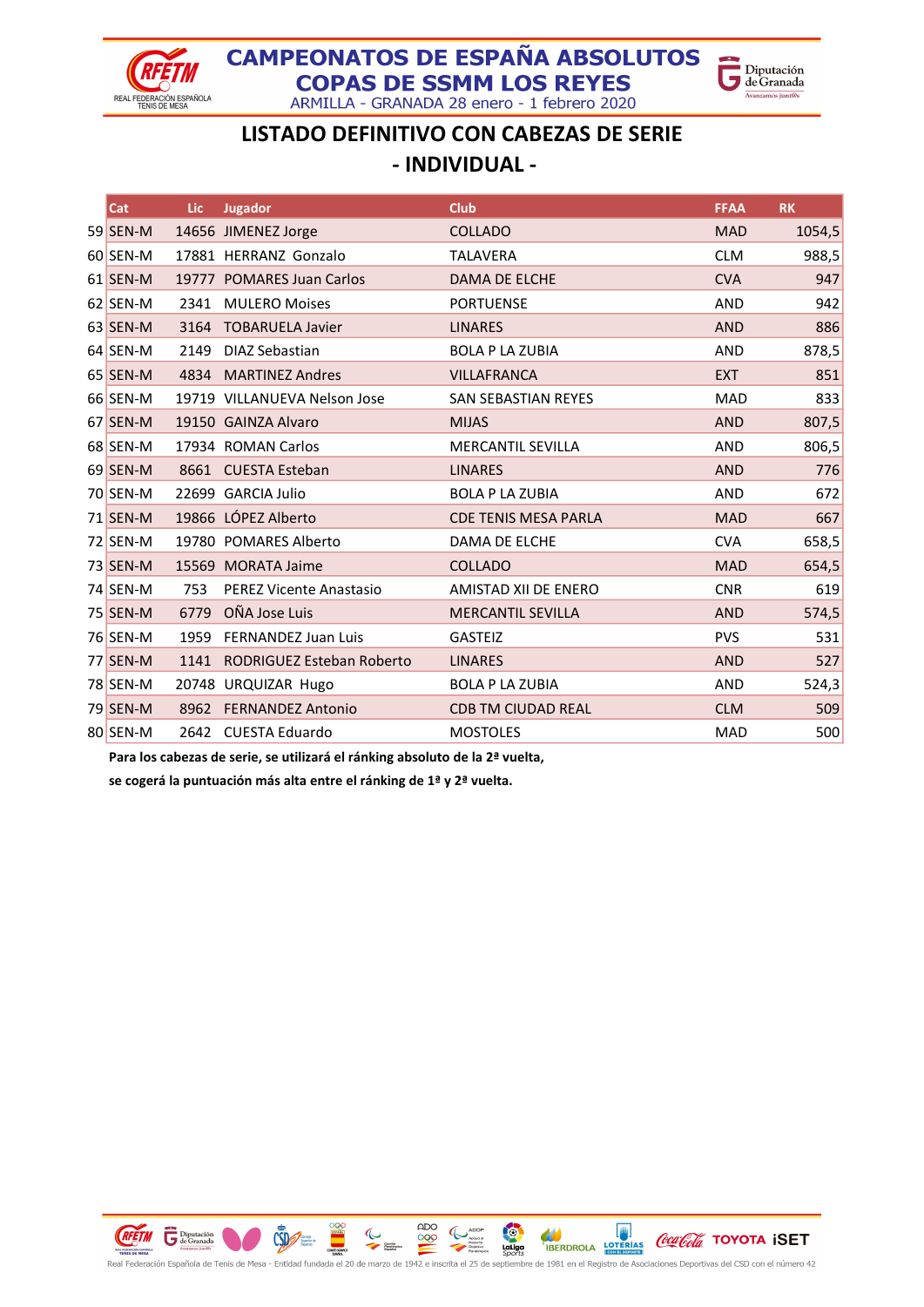



ARMILLA - GRANADA 28 enero - 1 febrero 2020

## LISTADO DEFINITIVO CON CABEZAS DE SERIE - INDIVIDUAL -

| Cat        | Lic. | <b>Jugador</b>                 | <b>Club</b>                 | <b>FFAA</b> | <b>RK</b> |
|------------|------|--------------------------------|-----------------------------|-------------|-----------|
| $59$ SEN-M |      | 14656 JIMENEZ Jorge            | <b>COLLADO</b>              | <b>MAD</b>  | 1054,5    |
| 60 SEN-M   |      | 17881 HERRANZ Gonzalo          | <b>TALAVERA</b>             | <b>CLM</b>  | 988,5     |
| 61 SEN-M   |      | 19777 POMARES Juan Carlos      | <b>DAMA DE ELCHE</b>        | <b>CVA</b>  | 947       |
| 62 SEN-M   | 2341 | <b>MULERO Moises</b>           | <b>PORTUENSE</b>            | <b>AND</b>  | 942       |
| 63 SEN-M   | 3164 | <b>TOBARUELA Javier</b>        | <b>LINARES</b>              | <b>AND</b>  | 886       |
| 64 SEN-M   | 2149 | <b>DIAZ Sebastian</b>          | <b>BOLA P LA ZUBIA</b>      | <b>AND</b>  | 878,5     |
| 65 SEN-M   | 4834 | <b>MARTINEZ Andres</b>         | <b>VILLAFRANCA</b>          | <b>EXT</b>  | 851       |
| 66 SEN-M   |      | 19719 VILLANUEVA Nelson Jose   | <b>SAN SEBASTIAN REYES</b>  | <b>MAD</b>  | 833       |
| 67 SEN-M   |      | 19150 GAINZA Alvaro            | <b>MIJAS</b>                | <b>AND</b>  | 807,5     |
| 68 SEN-M   |      | 17934 ROMAN Carlos             | <b>MERCANTIL SEVILLA</b>    | <b>AND</b>  | 806,5     |
| 69 SEN-M   |      | 8661 CUESTA Esteban            | <b>LINARES</b>              | <b>AND</b>  | 776       |
| 70 SEN-M   |      | 22699 GARCIA Julio             | <b>BOLA P LA ZUBIA</b>      | <b>AND</b>  | 672       |
| 71 SEN-M   |      | 19866 LÓPEZ Alberto            | <b>CDE TENIS MESA PARLA</b> | <b>MAD</b>  | 667       |
| 72 SEN-M   |      | 19780 POMARES Alberto          | DAMA DE ELCHE               | <b>CVA</b>  | 658,5     |
| 73 SEN-M   |      | 15569 MORATA Jaime             | <b>COLLADO</b>              | <b>MAD</b>  | 654,5     |
| 74 SEN-M   | 753  | <b>PEREZ Vicente Anastasio</b> | AMISTAD XII DE ENERO        | <b>CNR</b>  | 619       |
| 75 SEN-M   | 6779 | OÑA Jose Luis                  | <b>MERCANTIL SEVILLA</b>    | <b>AND</b>  | 574,5     |
| 76 SEN-M   | 1959 | <b>FERNANDEZ Juan Luis</b>     | <b>GASTEIZ</b>              | <b>PVS</b>  | 531       |
| 77 SEN-M   | 1141 | RODRIGUEZ Esteban Roberto      | <b>LINARES</b>              | <b>AND</b>  | 527       |
| 78 SEN-M   |      | 20748 URQUIZAR Hugo            | <b>BOLA P LA ZUBIA</b>      | <b>AND</b>  | 524,3     |
| 79 SEN-M   | 8962 | <b>FERNANDEZ Antonio</b>       | <b>CDB TM CIUDAD REAL</b>   | <b>CLM</b>  | 509       |
| 80 SEN-M   |      | 2642 CUESTA Eduardo            | <b>MOSTOLES</b>             | <b>MAD</b>  | 500       |

Para los cabezas de serie, se utilizará el ránking absoluto de la 2ª vuelta,

se cogerá la puntuación más alta entre el ránking de 1ª y 2ª vuelta.

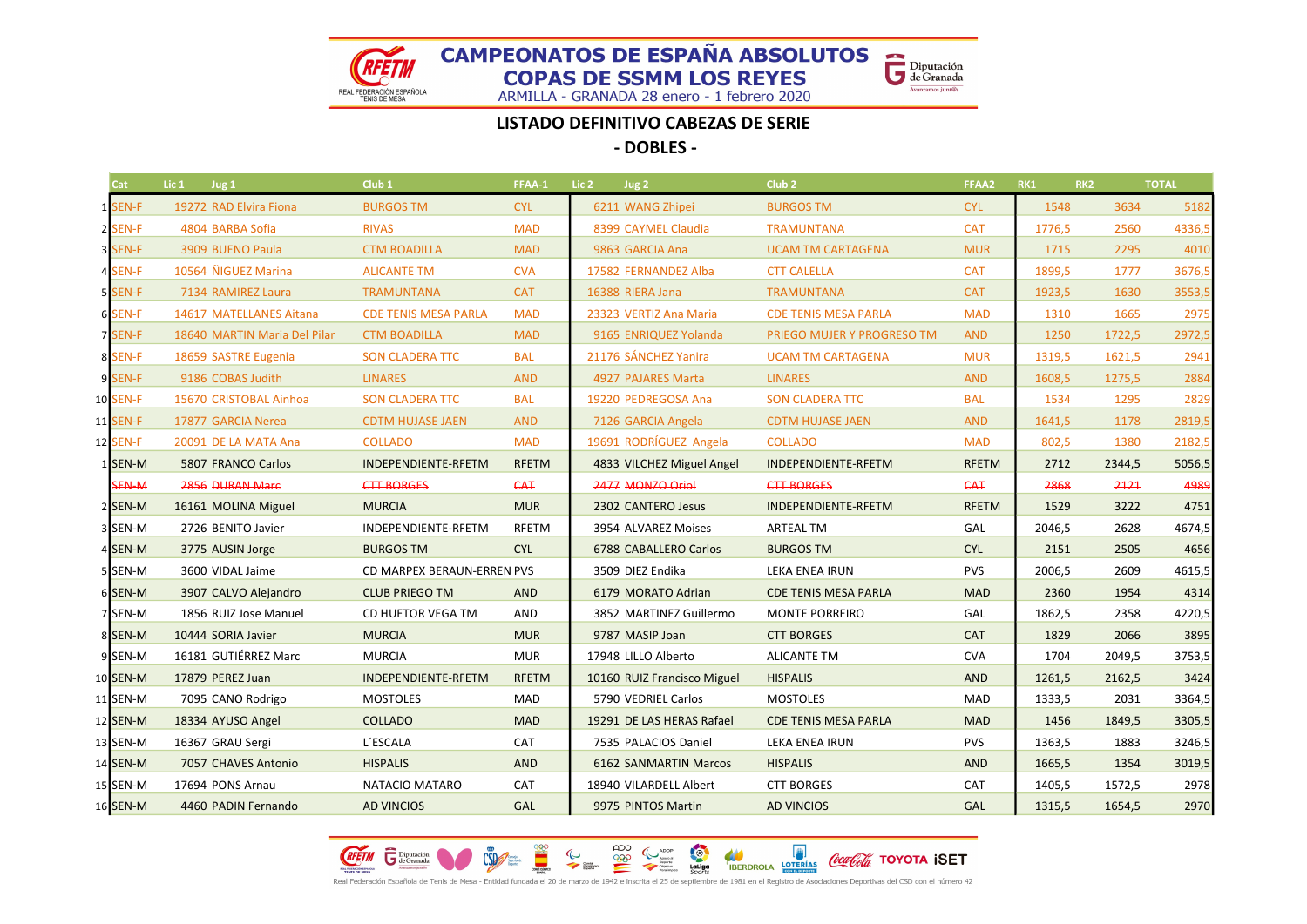Diputación<br>de Granada

Avanzamos junt@s

REAL FEDERACIÓN ESPAÑOLA<br>TENIS DE MESA

ARMILLA - GRANADA 28 enero - 1 febrero 2020

### LISTADO DEFINITIVO CABEZAS DE SERIE

- DOBLES -

| <b>Cat</b> | Lic <sub>1</sub> | Jug 1                        | Club <sub>1</sub>           | FFAA-1       | Lic <sub>2</sub> | Jug 2                       | Club <sub>2</sub>           | FFAA2        | RK1    | RK <sub>2</sub> | <b>TOTAL</b> |
|------------|------------------|------------------------------|-----------------------------|--------------|------------------|-----------------------------|-----------------------------|--------------|--------|-----------------|--------------|
| 1 SEN-F    |                  | 19272 RAD Elvira Fiona       | <b>BURGOS TM</b>            | <b>CYL</b>   |                  | 6211 WANG Zhipei            | <b>BURGOS TM</b>            | <b>CYL</b>   | 1548   | 3634            | 5182         |
| 2 SEN-F    |                  | 4804 BARBA Sofia             | <b>RIVAS</b>                | <b>MAD</b>   |                  | 8399 CAYMEL Claudia         | <b>TRAMUNTANA</b>           | <b>CAT</b>   | 1776,5 | 2560            | 4336,5       |
| 3 SEN-F    |                  | 3909 BUENO Paula             | <b>CTM BOADILLA</b>         | <b>MAD</b>   |                  | 9863 GARCIA Ana             | <b>UCAM TM CARTAGENA</b>    | <b>MUR</b>   | 1715   | 2295            | 4010         |
| 4 SEN-F    |                  | 10564 ÑIGUEZ Marina          | <b>ALICANTE TM</b>          | <b>CVA</b>   |                  | 17582 FERNANDEZ Alba        | <b>CTT CALELLA</b>          | <b>CAT</b>   | 1899,5 | 1777            | 3676,5       |
| 5 SEN-F    |                  | 7134 RAMIREZ Laura           | <b>TRAMUNTANA</b>           | <b>CAT</b>   |                  | 16388 RIERA Jana            | <b>TRAMUNTANA</b>           | <b>CAT</b>   | 1923,5 | 1630            | 3553,5       |
| 6 SEN-F    |                  | 14617 MATELLANES Aitana      | <b>CDE TENIS MESA PARLA</b> | <b>MAD</b>   |                  | 23323 VERTIZ Ana Maria      | <b>CDE TENIS MESA PARLA</b> | <b>MAD</b>   | 1310   | 1665            | 2975         |
| 7 SEN-F    |                  | 18640 MARTIN Maria Del Pilar | <b>CTM BOADILLA</b>         | <b>MAD</b>   |                  | 9165 ENRIQUEZ Yolanda       | PRIEGO MUJER Y PROGRESO TM  | <b>AND</b>   | 1250   | 1722,5          | 2972,5       |
| 8 SEN-F    |                  | 18659 SASTRE Eugenia         | <b>SON CLADERA TTC</b>      | <b>BAL</b>   |                  | 21176 SÁNCHEZ Yanira        | <b>UCAM TM CARTAGENA</b>    | <b>MUR</b>   | 1319,5 | 1621,5          | 2941         |
| 9 SEN-F    |                  | 9186 COBAS Judith            | <b>LINARES</b>              | <b>AND</b>   |                  | 4927 PAJARES Marta          | <b>LINARES</b>              | <b>AND</b>   | 1608,5 | 1275,5          | 2884         |
| 10 SEN-F   |                  | 15670 CRISTOBAL Ainhoa       | <b>SON CLADERA TTC</b>      | <b>BAL</b>   |                  | 19220 PEDREGOSA Ana         | <b>SON CLADERA TTC</b>      | <b>BAL</b>   | 1534   | 1295            | 2829         |
| 11 SEN-F   |                  | 17877 GARCIA Nerea           | <b>CDTM HUJASE JAEN</b>     | <b>AND</b>   |                  | 7126 GARCIA Angela          | <b>CDTM HUJASE JAEN</b>     | <b>AND</b>   | 1641,5 | 1178            | 2819,5       |
| 12 SEN-F   |                  | 20091 DE LA MATA Ana         | <b>COLLADO</b>              | <b>MAD</b>   |                  | 19691 RODRÍGUEZ Angela      | <b>COLLADO</b>              | <b>MAD</b>   | 802,5  | 1380            | 2182,5       |
| 1 SEN-M    |                  | 5807 FRANCO Carlos           | INDEPENDIENTE-RFETM         | <b>RFETM</b> |                  | 4833 VILCHEZ Miguel Angel   | INDEPENDIENTE-RFETM         | <b>RFETM</b> | 2712   | 2344,5          | 5056,5       |
| SEN-M      |                  | 2856 DURAN Mare              | <b>CTT BORGES</b>           | <b>CAT</b>   |                  | 2477 MONZO Oriol            | <b>CTT BORGES</b>           | <b>CAT</b>   | 2868   | 2121            | 4989         |
| 2 SEN-M    |                  | 16161 MOLINA Miguel          | <b>MURCIA</b>               | <b>MUR</b>   |                  | 2302 CANTERO Jesus          | INDEPENDIENTE-RFETM         | <b>RFETM</b> | 1529   | 3222            | 4751         |
| 3 SEN-M    |                  | 2726 BENITO Javier           | INDEPENDIENTE-RFETM         | <b>RFETM</b> |                  | 3954 ALVAREZ Moises         | <b>ARTEAL TM</b>            | GAL          | 2046,5 | 2628            | 4674,5       |
| 4 SEN-M    |                  | 3775 AUSIN Jorge             | <b>BURGOS TM</b>            | <b>CYL</b>   |                  | 6788 CABALLERO Carlos       | <b>BURGOS TM</b>            | <b>CYL</b>   | 2151   | 2505            | 4656         |
| 5 SEN-M    |                  | 3600 VIDAL Jaime             | CD MARPEX BERAUN-ERREN PVS  |              |                  | 3509 DIEZ Endika            | LEKA ENEA IRUN              | <b>PVS</b>   | 2006,5 | 2609            | 4615,5       |
| 6 SEN-M    |                  | 3907 CALVO Alejandro         | <b>CLUB PRIEGO TM</b>       | <b>AND</b>   |                  | 6179 MORATO Adrian          | <b>CDE TENIS MESA PARLA</b> | <b>MAD</b>   | 2360   | 1954            | 4314         |
| 7 SEN-M    |                  | 1856 RUIZ Jose Manuel        | CD HUETOR VEGA TM           | AND          |                  | 3852 MARTINEZ Guillermo     | <b>MONTE PORREIRO</b>       | GAL          | 1862,5 | 2358            | 4220,5       |
| 8 SEN-M    |                  | 10444 SORIA Javier           | <b>MURCIA</b>               | <b>MUR</b>   |                  | 9787 MASIP Joan             | <b>CTT BORGES</b>           | <b>CAT</b>   | 1829   | 2066            | 3895         |
| 9 SEN-M    |                  | 16181 GUTIÉRREZ Marc         | <b>MURCIA</b>               | <b>MUR</b>   |                  | 17948 LILLO Alberto         | <b>ALICANTE TM</b>          | <b>CVA</b>   | 1704   | 2049,5          | 3753,5       |
| 10 SEN-M   |                  | 17879 PEREZ Juan             | INDEPENDIENTE-RFETM         | <b>RFETM</b> |                  | 10160 RUIZ Francisco Miguel | <b>HISPALIS</b>             | <b>AND</b>   | 1261,5 | 2162,5          | 3424         |
| 11 SEN-M   |                  | 7095 CANO Rodrigo            | <b>MOSTOLES</b>             | <b>MAD</b>   |                  | 5790 VEDRIEL Carlos         | <b>MOSTOLES</b>             | <b>MAD</b>   | 1333,5 | 2031            | 3364,5       |
| 12 SEN-M   |                  | 18334 AYUSO Angel            | <b>COLLADO</b>              | <b>MAD</b>   |                  | 19291 DE LAS HERAS Rafael   | <b>CDE TENIS MESA PARLA</b> | <b>MAD</b>   | 1456   | 1849,5          | 3305,5       |
| 13 SEN-M   |                  | 16367 GRAU Sergi             | L'ESCALA                    | CAT          |                  | 7535 PALACIOS Daniel        | LEKA ENEA IRUN              | <b>PVS</b>   | 1363,5 | 1883            | 3246,5       |
| 14 SEN-M   |                  | 7057 CHAVES Antonio          | <b>HISPALIS</b>             | <b>AND</b>   |                  | 6162 SANMARTIN Marcos       | <b>HISPALIS</b>             | <b>AND</b>   | 1665,5 | 1354            | 3019,5       |
| 15 SEN-M   |                  | 17694 PONS Arnau             | NATACIO MATARO              | CAT          |                  | 18940 VILARDELL Albert      | <b>CTT BORGES</b>           | <b>CAT</b>   | 1405,5 | 1572,5          | 2978         |
| 16 SEN-M   |                  | 4460 PADIN Fernando          | <b>AD VINCIOS</b>           | GAL          |                  | 9975 PINTOS Martin          | <b>AD VINCIOS</b>           | GAL          | 1315,5 | 1654,5          | 2970         |

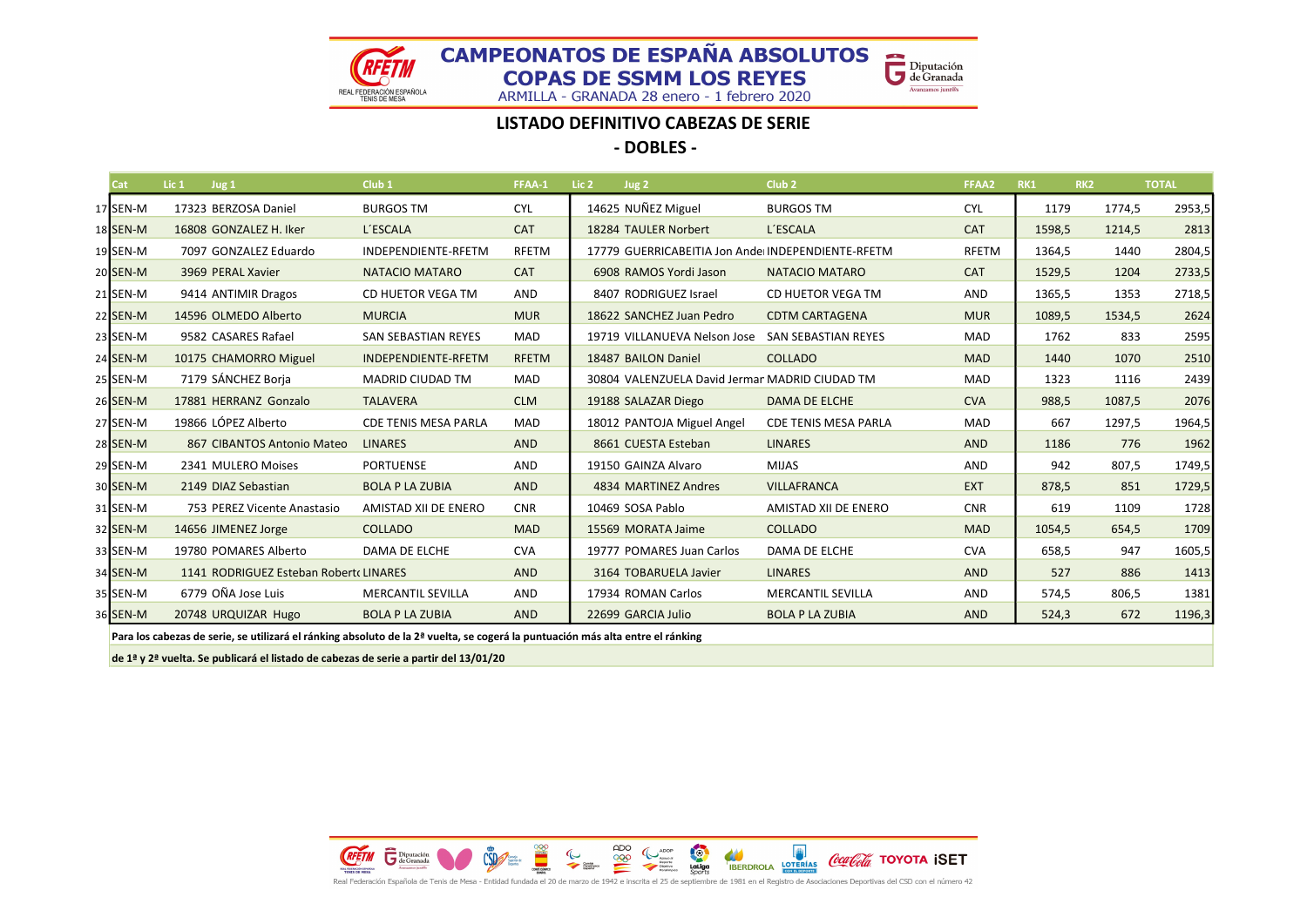REAL FEDERACIÓN ESPAÑOLA<br>TENIS DE MESA

ARMILLA - GRANADA 28 enero - 1 febrero 2020

Diputación<br>de Granada

Avanzamos junt@s

#### LISTADO DEFINITIVO CABEZAS DE SERIE

- DOBLES -

| Cat      | Lic $1$ Jug $1$ |                                       | Club <sub>1</sub>                                                                                                              | FFAA-1       | Lic <sub>2</sub> | Jug <sub>2</sub>                                  | Club <sub>2</sub>           | FFAA2      | RK1    | RK <sub>2</sub> |        | <b>TOTAL</b> |
|----------|-----------------|---------------------------------------|--------------------------------------------------------------------------------------------------------------------------------|--------------|------------------|---------------------------------------------------|-----------------------------|------------|--------|-----------------|--------|--------------|
| 17 SEN-M |                 | 17323 BERZOSA Daniel                  | <b>BURGOS TM</b>                                                                                                               | <b>CYL</b>   |                  | 14625 NUÑEZ Miguel                                | <b>BURGOS TM</b>            | <b>CYL</b> | 1179   |                 | 1774,5 | 2953,5       |
| 18 SEN-M |                 | 16808 GONZALEZ H. Iker                | L'ESCALA                                                                                                                       | <b>CAT</b>   |                  | 18284 TAULER Norbert                              | L'ESCALA                    | <b>CAT</b> | 1598,5 |                 | 1214,5 | 2813         |
| 19 SEN-M |                 | 7097 GONZALEZ Eduardo                 | INDEPENDIENTE-RFETM                                                                                                            | <b>RFETM</b> |                  | 17779 GUERRICABEITIA Jon Ande INDEPENDIENTE-RFETM |                             | RFETM      | 1364,5 |                 | 1440   | 2804,5       |
| 20 SEN-M |                 | 3969 PERAL Xavier                     | NATACIO MATARO                                                                                                                 | <b>CAT</b>   |                  | 6908 RAMOS Yordi Jason                            | NATACIO MATARO              | <b>CAT</b> | 1529,5 |                 | 1204   | 2733,5       |
| 21 SEN-M |                 | 9414 ANTIMIR Dragos                   | CD HUETOR VEGA TM                                                                                                              | AND          |                  | 8407 RODRIGUEZ Israel                             | CD HUETOR VEGA TM           | <b>AND</b> | 1365,5 |                 | 1353   | 2718,5       |
| 22 SEN-M |                 | 14596 OLMEDO Alberto                  | <b>MURCIA</b>                                                                                                                  | <b>MUR</b>   |                  | 18622 SANCHEZ Juan Pedro                          | <b>CDTM CARTAGENA</b>       | <b>MUR</b> | 1089,5 |                 | 1534,5 | 2624         |
| 23 SEN-M |                 | 9582 CASARES Rafael                   | SAN SEBASTIAN REYES                                                                                                            | MAD          |                  | 19719 VILLANUEVA Nelson Jose                      | SAN SEBASTIAN REYES         | <b>MAD</b> | 1762   |                 | 833    | 2595         |
| 24 SEN-M |                 | 10175 CHAMORRO Miguel                 | INDEPENDIENTE-RFETM                                                                                                            | <b>RFETM</b> |                  | 18487 BAILON Daniel                               | <b>COLLADO</b>              | <b>MAD</b> | 1440   |                 | 1070   | 2510         |
| 25 SEN-M |                 | 7179 SÁNCHEZ Borja                    | MADRID CIUDAD TM                                                                                                               | MAD          |                  | 30804 VALENZUELA David Jermar MADRID CIUDAD TM    |                             | <b>MAD</b> | 1323   |                 | 1116   | 2439         |
| 26 SEN-M |                 | 17881 HERRANZ Gonzalo                 | <b>TALAVERA</b>                                                                                                                | <b>CLM</b>   |                  | 19188 SALAZAR Diego                               | DAMA DE ELCHE               | <b>CVA</b> | 988,5  |                 | 1087,5 | 2076         |
| 27 SEN-M |                 | 19866 LÓPEZ Alberto                   | <b>CDE TENIS MESA PARLA</b>                                                                                                    | <b>MAD</b>   |                  | 18012 PANTOJA Miguel Angel                        | <b>CDE TENIS MESA PARLA</b> | <b>MAD</b> | 667    |                 | 1297,5 | 1964,5       |
| 28 SEN-M |                 | 867 CIBANTOS Antonio Mateo            | <b>LINARES</b>                                                                                                                 | <b>AND</b>   |                  | 8661 CUESTA Esteban                               | <b>LINARES</b>              | <b>AND</b> | 1186   |                 | 776    | 1962         |
| 29 SEN-M |                 | 2341 MULERO Moises                    | <b>PORTUENSE</b>                                                                                                               | AND          |                  | 19150 GAINZA Alvaro                               | <b>MIJAS</b>                | AND        | 942    |                 | 807,5  | 1749,5       |
| 30 SEN-M |                 | 2149 DIAZ Sebastian                   | <b>BOLA P LA ZUBIA</b>                                                                                                         | <b>AND</b>   |                  | 4834 MARTINEZ Andres                              | VILLAFRANCA                 | <b>EXT</b> | 878,5  |                 | 851    | 1729,5       |
| 31 SEN-M |                 | 753 PEREZ Vicente Anastasio           | AMISTAD XII DE ENERO                                                                                                           | <b>CNR</b>   |                  | 10469 SOSA Pablo                                  | AMISTAD XII DE ENERO        | <b>CNR</b> | 619    |                 | 1109   | 1728         |
| 32 SEN-M |                 | 14656 JIMENEZ Jorge                   | <b>COLLADO</b>                                                                                                                 | <b>MAD</b>   |                  | 15569 MORATA Jaime                                | <b>COLLADO</b>              | <b>MAD</b> | 1054.5 |                 | 654.5  | 1709         |
| 33 SEN-M |                 | 19780 POMARES Alberto                 | DAMA DE ELCHE                                                                                                                  | <b>CVA</b>   |                  | 19777 POMARES Juan Carlos                         | DAMA DE ELCHE               | <b>CVA</b> | 658,5  |                 | 947    | 1605,5       |
| 34 SEN-M |                 | 1141 RODRIGUEZ Esteban Robert LINARES |                                                                                                                                | <b>AND</b>   |                  | 3164 TOBARUELA Javier                             | <b>LINARES</b>              | <b>AND</b> | 527    |                 | 886    | 1413         |
| 35 SEN-M |                 | 6779 OÑA Jose Luis                    | <b>MERCANTIL SEVILLA</b>                                                                                                       | AND          |                  | 17934 ROMAN Carlos                                | <b>MERCANTIL SEVILLA</b>    | <b>AND</b> | 574,5  |                 | 806,5  | 1381         |
| 36 SEN-M |                 | 20748 URQUIZAR Hugo                   | <b>BOLA P LA ZUBIA</b>                                                                                                         | <b>AND</b>   |                  | 22699 GARCIA Julio                                | <b>BOLA P LA ZUBIA</b>      | <b>AND</b> | 524,3  |                 | 672    | 1196,3       |
|          |                 |                                       | Para los cabezas de serie, se utilizará el ránking absoluto de la 2ª vuelta, se cogerá la puntuación más alta entre el ránking |              |                  |                                                   |                             |            |        |                 |        |              |

de 1ª y 2ª vuelta. Se publicará el listado de cabezas de serie a partir del 13/01/20



Real Federación Española de Tenis de Mesa - Entidad fundada el 20 de marzo de 1942 e inscrita el 25 de septiembre de 1981 en el Registro de Asociaciones Deportivas del CSD con el número 42